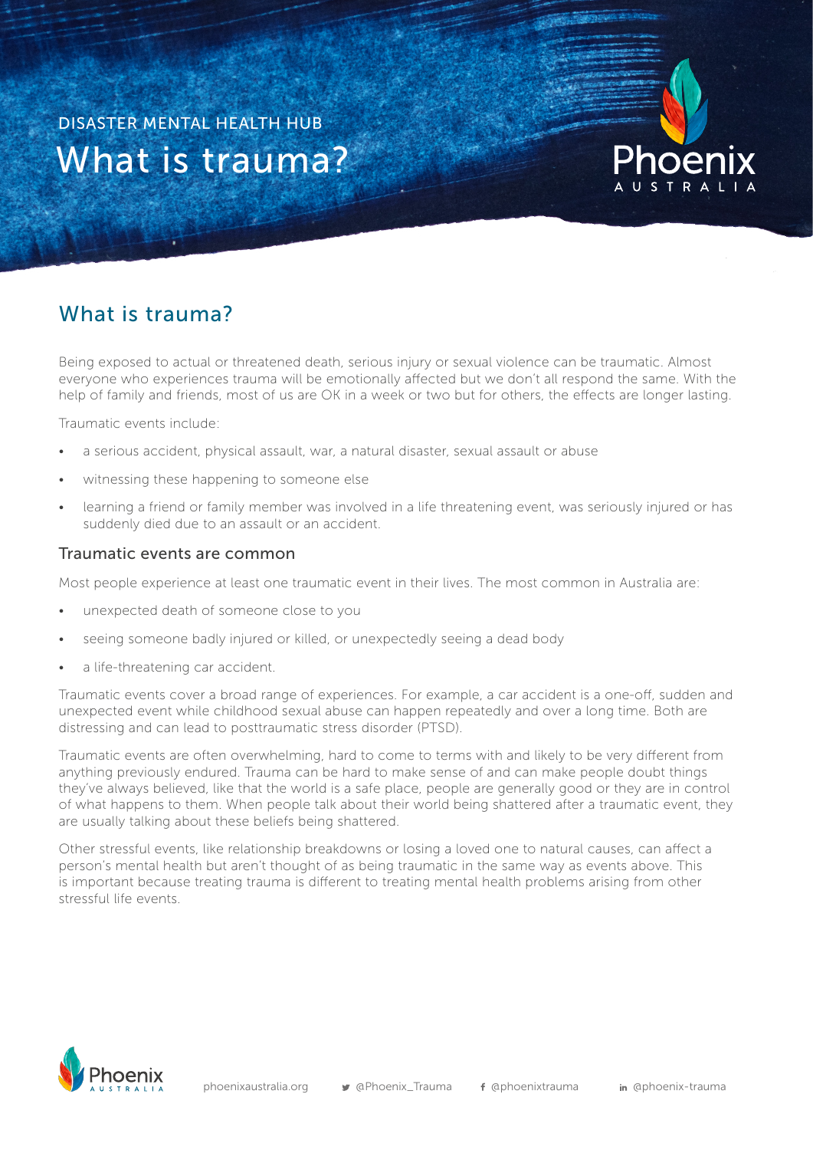What is trauma? DISASTER MENTAL HEALTH HUB



## What is trauma?

Being exposed to actual or threatened death, serious injury or sexual violence can be traumatic. Almost everyone who experiences trauma will be emotionally affected but we don't all respond the same. With the help of family and friends, most of us are OK in a week or two but for others, the effects are longer lasting.

Traumatic events include:

- a serious accident, physical assault, war, a natural disaster, sexual assault or abuse
- witnessing these happening to someone else
- learning a friend or family member was involved in a life threatening event, was seriously injured or has suddenly died due to an assault or an accident.

## Traumatic events are common

Most people experience at least one traumatic event in their lives. The most common in Australia are:

- unexpected death of someone close to you
- seeing someone badly injured or killed, or unexpectedly seeing a dead body
- a life-threatening car accident.

Traumatic events cover a broad range of experiences. For example, a car accident is a one-off, sudden and unexpected event while childhood sexual abuse can happen repeatedly and over a long time. Both are distressing and can lead to posttraumatic stress disorder (PTSD).

Traumatic events are often overwhelming, hard to come to terms with and likely to be very different from anything previously endured. Trauma can be hard to make sense of and can make people doubt things they've always believed, like that the world is a safe place, people are generally good or they are in control of what happens to them. When people talk about their world being shattered after a traumatic event, they are usually talking about these beliefs being shattered.

Other stressful events, like relationship breakdowns or losing a loved one to natural causes, can affect a person's mental health but aren't thought of as being traumatic in the same way as events above. This is important because treating trauma is different to treating mental health problems arising from other stressful life events.